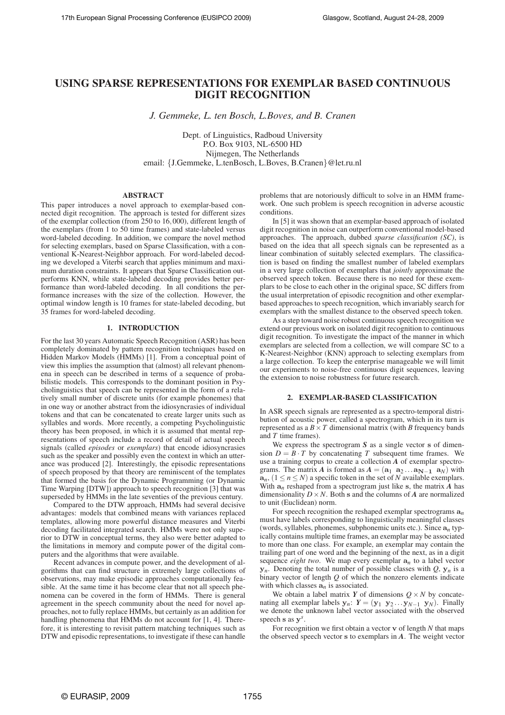# **USING SPARSE REPRESENTATIONS FOR EXEMPLAR BASED CONTINUOUS DIGIT RECOGNITION**

*J. Gemmeke, L. ten Bosch, L.Boves, and B. Cranen*

Dept. of Linguistics, Radboud University P.O. Box 9103, NL-6500 HD Nijmegen, The Netherlands email: {J.Gemmeke, L.tenBosch, L.Boves, B.Cranen}@let.ru.nl

# **ABSTRACT**

This paper introduces a novel approach to exemplar-based connected digit recognition. The approach is tested for different sizes of the exemplar collection (from 250 to 16,000), different length of the exemplars (from 1 to 50 time frames) and state-labeled versus word-labeled decoding. In addition, we compare the novel method for selecting exemplars, based on Sparse Classification, with a conventional K-Nearest-Neighbor approach. For word-labeled decoding we developed a Viterbi search that applies minimum and maximum duration constraints. It appears that Sparse Classification outperforms KNN, while state-labeled decoding provides better performance than word-labeled decoding. In all conditions the performance increases with the size of the collection. However, the optimal window length is 10 frames for state-labeled decoding, but 35 frames for word-labeled decoding.

# **1. INTRODUCTION**

For the last 30 years Automatic Speech Recognition (ASR) has been completely dominated by pattern recognition techniques based on Hidden Markov Models (HMMs) [1]. From a conceptual point of view this implies the assumption that (almost) all relevant phenomena in speech can be described in terms of a sequence of probabilistic models. This corresponds to the dominant position in Psycholinguistics that speech can be represented in the form of a relatively small number of discrete units (for example phonemes) that in one way or another abstract from the idiosyncrasies of individual tokens and that can be concatenated to create larger units such as syllables and words. More recently, a competing Psycholinguistic theory has been proposed, in which it is assumed that mental representations of speech include a record of detail of actual speech signals (called *episodes* or *exemplars*) that encode idiosyncrasies such as the speaker and possibly even the context in which an utterance was produced [2]. Interestingly, the episodic representations of speech proposed by that theory are reminiscent of the templates that formed the basis for the Dynamic Programming (or Dynamic Time Warping [DTW]) approach to speech recognition [3] that was superseded by HMMs in the late seventies of the previous century.

Compared to the DTW approach, HMMs had several decisive advantages: models that combined means with variances replaced templates, allowing more powerful distance measures and Viterbi decoding facilitated integrated search. HMMs were not only superior to DTW in conceptual terms, they also were better adapted to the limitations in memory and compute power of the digital computers and the algorithms that were available.

Recent advances in compute power, and the development of algorithms that can find structure in extremely large collections of observations, may make episodic approaches computationally feasible. At the same time it has become clear that not all speech phenomena can be covered in the form of HMMs. There is general agreement in the speech community about the need for novel approaches, not to fully replace HMMs, but certainly as an addition for handling phenomena that HMMs do not account for [1, 4]. Therefore, it is interesting to revisit pattern matching techniques such as DTW and episodic representations, to investigate if these can handle

problems that are notoriously difficult to solve in an HMM framework. One such problem is speech recognition in adverse acoustic conditions.

In [5] it was shown that an exemplar-based approach of isolated digit recognition in noise can outperform conventional model-based approaches. The approach, dubbed *sparse classification (SC)*, is based on the idea that all speech signals can be represented as a linear combination of suitably selected exemplars. The classification is based on finding the smallest number of labeled exemplars in a very large collection of exemplars that *jointly* approximate the observed speech token. Because there is no need for these exemplars to be close to each other in the original space, SC differs from the usual interpretation of episodic recognition and other exemplarbased approaches to speech recognition, which invariably search for exemplars with the smallest distance to the observed speech token.

As a step toward noise robust continuous speech recognition we extend our previous work on isolated digit recognition to continuous digit recognition. To investigate the impact of the manner in which exemplars are selected from a collection, we will compare SC to a K-Nearest-Neighbor (KNN) approach to selecting exemplars from a large collection. To keep the enterprise manageable we will limit our experiments to noise-free continuous digit sequences, leaving the extension to noise robustness for future research.

# **2. EXEMPLAR-BASED CLASSIFICATION**

In ASR speech signals are represented as a spectro-temporal distribution of acoustic power, called a spectrogram, which in its turn is represented as a  $B \times T$  dimensional matrix (with *B* frequency bands and *T* time frames).

We express the spectrogram *S* as a single vector *s* of dimension  $D = B \cdot T$  by concatenating *T* subsequent time frames. We use a training corpus to create a collection *A* of exemplar spectrograms. The matrix *A* is formed as  $A = (\mathbf{a}_1 \ \mathbf{a}_2 \dots \mathbf{a}_{N-1} \ \mathbf{a}_N)$  with  $a_n$ ,  $(1 \le n \le N)$  a specific token in the set of *N* available exemplars. With  $a_n$  reshaped from a spectrogram just like s, the matrix  $\tilde{A}$  has dimensionality  $D \times N$ . Both s and the columns of *A* are normalized to unit (Euclidean) norm.

For speech recognition the reshaped exemplar spectrograms a*n* must have labels corresponding to linguistically meaningful classes (words, syllables, phonemes, subphonemic units etc.). Since a*n* typically contains multiple time frames, an exemplar may be associated to more than one class. For example, an exemplar may contain the trailing part of one word and the beginning of the next, as in a digit sequence *eight two*. We map every exemplar  $a_n$  to a label vector  $y_n$ . Denoting the total number of possible classes with *Q*,  $y_n$  is a binary vector of length *Q* of which the nonzero elements indicate with which classes a*n* is associated.

We obtain a label matrix *Y* of dimensions  $Q \times N$  by concatenating all exemplar labels  $y_n$ :  $Y = (y_1 \ y_2 \dots y_{N-1} \ y_N)$ . Finally we denote the unknown label vector associated with the observed speech s as y *s* .

For recognition we first obtain a vector v of length *N* that maps the observed speech vector s to exemplars in *A*. The weight vector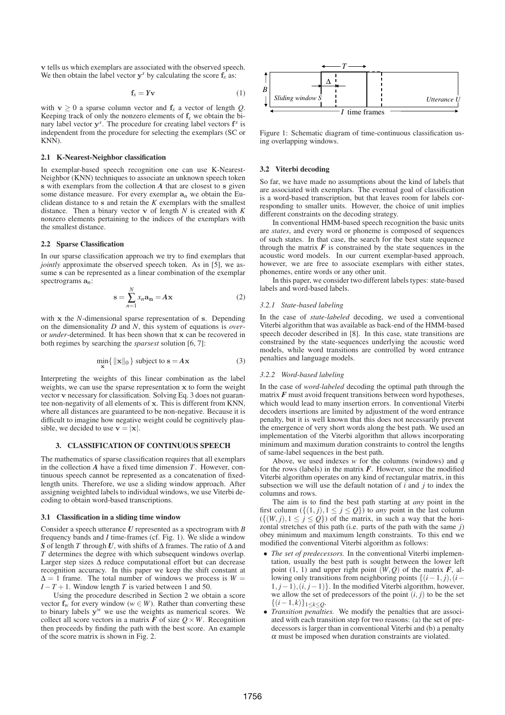v tells us which exemplars are associated with the observed speech. We then obtain the label vector  $y^s$  by calculating the score  $f_s$  as:

$$
\mathbf{f}_s = Y \mathbf{v} \tag{1}
$$

with  $v \ge 0$  a sparse column vector and  $f_s$  a vector of length *Q*. Keeping track of only the nonzero elements of f*s* we obtain the binary label vector y *s* . The procedure for creating label vectors f *s* is independent from the procedure for selecting the exemplars (SC or KNN).

### **2.1 K-Nearest-Neighbor classification**

In exemplar-based speech recognition one can use K-Nearest-Neighbor (KNN) techniques to associate an unknown speech token s with exemplars from the collection *A* that are closest to s given some distance measure. For every exemplar  $a_n$  we obtain the Euclidean distance to s and retain the *K* exemplars with the smallest distance. Then a binary vector v of length *N* is created with *K* nonzero elements pertaining to the indices of the exemplars with the smallest distance.

# **2.2 Sparse Classification**

In our sparse classification approach we try to find exemplars that *jointly* approximate the observed speech token. As in [5], we assume s can be represented as a linear combination of the exemplar spectrograms a*n*:

$$
\mathbf{s} = \sum_{n=1}^{N} x_n \mathbf{a_n} = A \mathbf{x} \tag{2}
$$

with x the *N*-dimensional sparse representation of s. Depending on the dimensionality *D* and *N*, this system of equations is *over*or *under*-determined. It has been shown that x can be recovered in both regimes by searching the *sparsest* solution [6, 7]:

$$
\min_{\mathbf{x}} \{ \|\mathbf{x}\|_0 \} \text{ subject to } \mathbf{s} = A\mathbf{x} \tag{3}
$$

Interpreting the weights of this linear combination as the label weights, we can use the sparse representation x to form the weight vector v necessary for classification. Solving Eq. 3 does not guarantee non-negativity of all elements of x. This is different from KNN, where all distances are guaranteed to be non-negative. Because it is difficult to imagine how negative weight could be cognitively plausible, we decided to use  $\mathbf{v} = |\mathbf{x}|$ .

# **3. CLASSIFICATION OF CONTINUOUS SPEECH**

The mathematics of sparse classification requires that all exemplars in the collection *A* have a fixed time dimension *T*. However, continuous speech cannot be represented as a concatenation of fixedlength units. Therefore, we use a sliding window approach. After assigning weighted labels to individual windows, we use Viterbi decoding to obtain word-based transcriptions.

#### **3.1 Classification in a sliding time window**

Consider a speech utterance *U* represented as a spectrogram with *B* frequency bands and *I* time-frames (cf. Fig. 1). We slide a window *S* of length *T* through *U*, with shifts of ∆ frames. The ratio of ∆ and *T* determines the degree with which subsequent windows overlap. Larger step sizes ∆ reduce computational effort but can decrease recognition accuracy. In this paper we keep the shift constant at  $\Delta = 1$  frame. The total number of windows we process is  $W =$ *I* − *T* + 1. Window length *T* is varied between 1 and 50.

Using the procedure described in Section 2 we obtain a score vector  $f_w$  for every window ( $w \in W$ ). Rather than converting these to binary labels  $y^w$  we use the weights as numerical scores. We collect all score vectors in a matrix  $\vec{F}$  of size  $Q \times W$ . Recognition then proceeds by finding the path with the best score. An example of the score matrix is shown in Fig. 2.



Figure 1: Schematic diagram of time-continuous classification using overlapping windows.

## **3.2 Viterbi decoding**

So far, we have made no assumptions about the kind of labels that are associated with exemplars. The eventual goal of classification is a word-based transcription, but that leaves room for labels corresponding to smaller units. However, the choice of unit implies different constraints on the decoding strategy.

In conventional HMM-based speech recognition the basic units are *states*, and every word or phoneme is composed of sequences of such states. In that case, the search for the best state sequence through the matrix  $\vec{F}$  is constrained by the state sequences in the acoustic word models. In our current exemplar-based approach, however, we are free to associate exemplars with either states, phonemes, entire words or any other unit.

In this paper, we consider two different labels types: state-based labels and word-based labels.

#### *3.2.1 State-based labeling*

In the case of *state-labeled* decoding, we used a conventional Viterbi algorithm that was available as back-end of the HMM-based speech decoder described in [8]. In this case, state transitions are constrained by the state-sequences underlying the acoustic word models, while word transitions are controlled by word entrance penalties and language models.

### *3.2.2 Word-based labeling*

In the case of *word-labeled* decoding the optimal path through the matrix  $F$  must avoid frequent transitions between word hypotheses, which would lead to many insertion errors. In conventional Viterbi decoders insertions are limited by adjustment of the word entrance penalty, but it is well known that this does not necessarily prevent the emergence of very short words along the best path. We used an implementation of the Viterbi algorithm that allows incorporating minimum and maximum duration constraints to control the lengths of same-label sequences in the best path.

Above, we used indexes *w* for the columns (windows) and *q* for the rows (labels) in the matrix  $F$ . However, since the modified Viterbi algorithm operates on any kind of rectangular matrix, in this subsection we will use the default notation of *i* and *j* to index the columns and rows.

The aim is to find the best path starting at *any* point in the first column  $({(1, j), 1 \le j \le Q})$  to *any* point in the last column  $({(w, j), 1 \leq j \leq Q})$  of the matrix, in such a way that the horizontal stretches of this path (i.e. parts of the path with the same *j*) obey minimum and maximum length constraints. To this end we modified the conventional Viterbi algorithm as follows:

- *The set of predecessors.* In the conventional Viterbi implementation, usually the best path is sought between the lower left point  $(1, 1)$  and upper right point  $(W, Q)$  of the matrix  $F$ , allowing only transitions from neighboring points  $\{(i-1, j), (i-1)\}$ 1, *j*−1),(*i*, *j*−1)}. In the modified Viterbi algorithm, however, we allow the set of predecessors of the point  $(i, j)$  to be the set {(*i*−1, *k*)}1≤*k*≤*Q*.
- *Transition penalties.* We modify the penalties that are associated with each transition step for two reasons: (a) the set of predecessors is larger than in conventional Viterbi and (b) a penalty  $\alpha$  must be imposed when duration constraints are violated.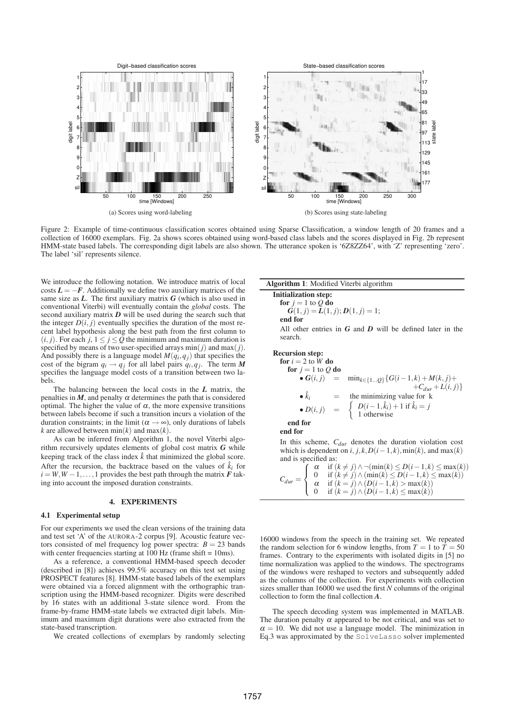

Figure 2: Example of time-continuous classification scores obtained using Sparse Classification, a window length of 20 frames and a collection of 16000 exemplars. Fig. 2a shows scores obtained using word-based class labels and the scores displayed in Fig. 2b represent HMM-state based labels. The corresponding digit labels are also shown. The utterance spoken is '6Z8ZZ64', with 'Z' representing 'zero'. The label 'sil' represents silence.

We introduce the following notation. We introduce matrix of local costs  $L = -F$ . Additionally we define two auxiliary matrices of the same size as *L*. The first auxiliary matrix *G* (which is also used in conventional Viterbi) will eventually contain the *global* costs. The second auxiliary matrix *D* will be used during the search such that the integer  $D(i, j)$  eventually specifies the duration of the most recent label hypothesis along the best path from the first column to  $(i, j)$ . For each  $j, 1 \leq j \leq Q$  the minimum and maximum duration is specified by means of two user-specified arrays  $\min(j)$  and  $\max(j)$ . And possibly there is a language model  $M(q_i, q_j)$  that specifies the cost of the bigram  $q_i \rightarrow q_j$  for all label pairs  $q_i, q_j$ . The term M specifies the language model costs of a transition between two labels.

The balancing between the local costs in the *L* matrix, the penalties in  $M$ , and penalty  $\alpha$  determines the path that is considered optimal. The higher the value of <sup>α</sup>, the more expensive transitions between labels become if such a transition incurs a violation of the duration constraints; in the limit ( $\alpha \rightarrow \infty$ ), only durations of labels *k* are allowed between  $min(k)$  and  $max(k)$ .

As can be inferred from Algorithm 1, the novel Viterbi algorithm recursively updates elements of global cost matrix *G* while keeping track of the class index  $\hat{k}$  that minimized the global score. After the recursion, the backtrace based on the values of  $\hat{k}_i$  for  $i = W, W - 1, \ldots, 1$  provides the best path through the matrix  $\vec{F}$  taking into account the imposed duration constraints.

# **4. EXPERIMENTS**

#### **4.1 Experimental setup**

For our experiments we used the clean versions of the training data and test set 'A' of the AURORA-2 corpus [9]. Acoustic feature vectors consisted of mel frequency log power spectra:  $B = 23$  bands with center frequencies starting at  $100$  Hz (frame shift =  $10$ ms).

As a reference, a conventional HMM-based speech decoder (described in [8]) achieves 99.5% accuracy on this test set using PROSPECT features [8]. HMM-state based labels of the exemplars were obtained via a forced alignment with the orthographic transcription using the HMM-based recognizer. Digits were described by 16 states with an additional 3-state silence word. From the frame-by-frame HMM-state labels we extracted digit labels. Minimum and maximum digit durations were also extracted from the state-based transcription.

We created collections of exemplars by randomly selecting

**Algorithm 1**: Modified Viterbi algorithm

**Initialization step:**  
for 
$$
j = 1
$$
 to Q do  
 $G(1, j) = L(1, j); D(1, j) = 1;$   
end for

All other entries in *G* and *D* will be defined later in the search.

#### **Recursion step:**

for 
$$
i = 2
$$
 to W do  
\nfor  $j = 1$  to Q do  
\n•  $G(i, j) = min_{k \in \{1...Q\}} \{G(i-1,k) + M(k, j) + C_{dur} + L(i, j)\}$   
\n•  $\hat{k}_i = \text{the minimizing value for } k$   
\n•  $D(i, j) = \begin{cases} D(i-1, \hat{k}_i) + 1 \text{ if } \hat{k}_i = j \\ 1 \text{ otherwise} \end{cases}$   
\nend for

**end for**

In this scheme, *Cdur* denotes the duration violation cost which is dependent on  $i, j, k, D(i-1, k)$ , min(k), and max(k) and is specified as:

 $C_{dur} =$  $\sqrt{ }$ **d** 0 if  $(k ≠ j) ∧ (min(k) ≤ D(i-1, k) ≤ max(k))$  $\mathbf{I}$  $\alpha$  if  $(k \neq j) \land \neg(\min(k) \leq D(i-1, k) \leq \max(k))$  $\alpha$  if  $(k = j) \land (D(i-1,k) > \max(k))$ 0 if  $(k = j) \land (D(i − 1, k) \leq max(k))$ 

16000 windows from the speech in the training set. We repeated the random selection for 6 window lengths, from  $T = 1$  to  $\overline{T} = 50$ frames. Contrary to the experiments with isolated digits in [5] no time normalization was applied to the windows. The spectrograms of the windows were reshaped to vectors and subsequently added as the columns of the collection. For experiments with collection sizes smaller than 16000 we used the first  $N$  columns of the original collection to form the final collection *A*.

The speech decoding system was implemented in MATLAB. The duration penalty  $\alpha$  appeared to be not critical, and was set to  $\alpha = 10$ . We did not use a language model. The minimization in Eq.3 was approximated by the SolveLasso solver implemented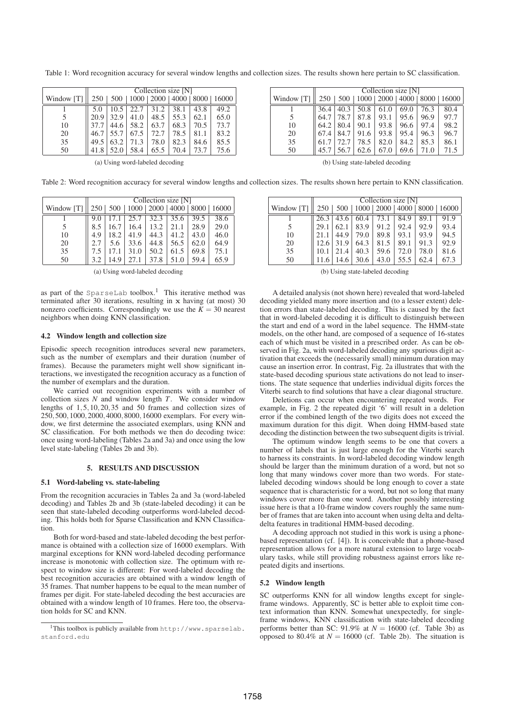|            | Collection size [N] |      |      |      |      |      |                                         |  |
|------------|---------------------|------|------|------|------|------|-----------------------------------------|--|
| Window [T] | 250                 |      |      |      |      |      | 500   1000   2000   4000   8000   16000 |  |
|            |                     |      | 22.7 | 31.2 | 38.1 | 43.8 | 49.2                                    |  |
|            | 20.9                | 32.9 | 41.0 | 48.5 | 55.3 | 62.1 | 65.0                                    |  |
| 10         | 37.7                | 44.6 | 58.2 | 63.7 | 68.3 | 70.5 | 73.7                                    |  |
| 20         | 46.7                | 55.7 | 67.5 | 72.7 | 78.5 | 81.1 | 83.2                                    |  |
| 35         | 49.5                | 63.2 | 71.3 | 78.0 | 82.3 | 84.6 | 85.5                                    |  |
| 50         | 41.8                | 52.0 | 58.4 | 65.5 | 70.4 | 73.7 | 75.6                                    |  |

Table 1: Word recognition accuracy for several window lengths and collection sizes. The results shown here pertain to SC classification.

|            | Collection size [N] |            |      |                           |      |      |       |  |
|------------|---------------------|------------|------|---------------------------|------|------|-------|--|
| Window [T] | 250 <sup>1</sup>    | $500 \mid$ |      | 1000   2000   4000   8000 |      |      | 16000 |  |
|            |                     | 40.3       | 50.8 | 61.0                      | 69.0 | 76.3 | 80.4  |  |
|            | 64.7                | 78.7       | 87.8 | 93.1                      | 95.6 | 96.9 | 97.7  |  |
| 10         | 64.2                | 80.4       | 90.1 | 93.8                      | 96.6 | 97.4 | 98.2  |  |
| 20         |                     | 84.7       | 91.6 | 93.8                      | 95.4 | 96.3 | 96.7  |  |
| 35         |                     | 72.7       | 78.5 | 82.0                      | 84.2 | 85.3 | 86.1  |  |
| 50         | 45.7                | 56.7       | 62.6 | 67.0                      | 69.6 | 71.0 | 71.5  |  |

(a) Using word-labeled decoding

(b) Using state-labeled decoding

Table 2: Word recognition accuracy for several window lengths and collection sizes. The results shown here pertain to KNN classification.

|            | Collection size [N] |      |      |      |      |      |                                               |  |
|------------|---------------------|------|------|------|------|------|-----------------------------------------------|--|
| Window [T] |                     |      |      |      |      |      | 250   500   1000   2000   4000   8000   16000 |  |
|            |                     |      | 25.7 | 32.3 | 35.6 | 39.5 | 38.6                                          |  |
|            | 8.5                 | 16.7 | 16.4 | 13.2 | 21.1 | 28.9 | 29.0                                          |  |
| 10         | 4.9                 | 18.2 | 41.9 | 44.3 | 41.2 | 43.0 | 46.0                                          |  |
| 20         |                     | 5.6  | 33.6 | 44.8 | 56.5 | 62.0 | 64.9                                          |  |
| 35         | 7.5                 |      | 31.0 | 50.2 | 61.5 | 69.8 | 75.1                                          |  |
| 50         | 3.2                 | 14.9 |      | 37.8 | 51.0 | 59.4 | 65.9                                          |  |

(a) Using word-labeled decoding

as part of the SparseLab toolbox.<sup>1</sup> This iterative method was terminated after 30 iterations, resulting in x having (at most) 30 nonzero coefficients. Correspondingly we use the  $K = 30$  nearest neighbors when doing KNN classification.

# **4.2 Window length and collection size**

Episodic speech recognition introduces several new parameters, such as the number of exemplars and their duration (number of frames). Because the parameters might well show significant interactions, we investigated the recognition accuracy as a function of the number of exemplars and the duration.

We carried out recognition experiments with a number of collection sizes *N* and window length *T*. We consider window lengths of 1,5,10,20,35 and 50 frames and collection sizes of 250,500,1000,2000,4000,8000,16000 exemplars. For every window, we first determine the associated exemplars, using KNN and SC classification. For both methods we then do decoding twice: once using word-labeling (Tables 2a and 3a) and once using the low level state-labeling (Tables 2b and 3b).

# **5. RESULTS AND DISCUSSION**

# **5.1 Word-labeling vs. state-labeling**

From the recognition accuracies in Tables 2a and 3a (word-labeled decoding) and Tables 2b and 3b (state-labeled decoding) it can be seen that state-labeled decoding outperforms word-labeled decoding. This holds both for Sparse Classification and KNN Classification.

Both for word-based and state-labeled decoding the best performance is obtained with a collection size of 16000 exemplars. With marginal exceptions for KNN word-labeled decoding performance increase is monotonic with collection size. The optimum with respect to window size is different: For word-labeled decoding the best recognition accuracies are obtained with a window length of 35 frames. That number happens to be equal to the mean number of frames per digit. For state-labeled decoding the best accuracies are obtained with a window length of 10 frames. Here too, the observation holds for SC and KNN.

|            | Collection size [N] |      |      |                    |      |      |       |  |
|------------|---------------------|------|------|--------------------|------|------|-------|--|
| Window [T] | 250                 | 500  |      | 1000   2000   4000 |      | 8000 | 16000 |  |
|            | 26.3                | 43.6 | 60.4 | 73.1               | 84.9 | 89.1 | 91.9  |  |
|            | 29.1                | 62.1 | 83.9 | 91.2               | 92.4 | 92.9 | 93.4  |  |
| 10         |                     | 44.9 | 79.0 | 89.8               | 93.1 | 93.9 | 94.5  |  |
| 20         | 12.6                | 31.9 | 64.3 | 81.5               | 89.1 | 91.3 | 92.9  |  |
| 35         | 10.1                | 21.4 | 40.3 | 59.6               | 72.0 | 78.0 | 81.6  |  |
| 50         |                     | 14.6 | 30.6 | 43.0               | 55.5 | 62.4 | 67.3  |  |

(b) Using state-labeled decoding

A detailed analysis (not shown here) revealed that word-labeled decoding yielded many more insertion and (to a lesser extent) deletion errors than state-labeled decoding. This is caused by the fact that in word-labeled decoding it is difficult to distinguish between the start and end of a word in the label sequence. The HMM-state models, on the other hand, are composed of a sequence of 16-states each of which must be visited in a prescribed order. As can be observed in Fig. 2a, with word-labeled decoding any spurious digit activation that exceeds the (necessarily small) minimum duration may cause an insertion error. In contrast, Fig. 2a illustrates that with the state-based decoding spurious state activations do not lead to insertions. The state sequence that underlies individual digits forces the Viterbi search to find solutions that have a clear diagonal structure.

Deletions can occur when encountering repeated words. For example, in Fig. 2 the repeated digit '6' will result in a deletion error if the combined length of the two digits does not exceed the maximum duration for this digit. When doing HMM-based state decoding the distinction between the two subsequent digits is trivial.

The optimum window length seems to be one that covers a number of labels that is just large enough for the Viterbi search to harness its constraints. In word-labeled decoding window length should be larger than the minimum duration of a word, but not so long that many windows cover more than two words. For statelabeled decoding windows should be long enough to cover a state sequence that is characteristic for a word, but not so long that many windows cover more than one word. Another possibly interesting issue here is that a 10-frame window covers roughly the same number of frames that are taken into account when using delta and deltadelta features in traditional HMM-based decoding.

A decoding approach not studied in this work is using a phonebased representation (cf. [4]). It is conceivable that a phone-based representation allows for a more natural extension to large vocabulary tasks, while still providing robustness against errors like repeated digits and insertions.

# **5.2 Window length**

SC outperforms KNN for all window lengths except for singleframe windows. Apparently, SC is better able to exploit time context information than KNN. Somewhat unexpectedly, for singleframe windows, KNN classification with state-labeled decoding performs better than SC:  $91.9\%$  at  $N = 16000$  (cf. Table 3b) as opposed to 80.4% at  $N = 16000$  (cf. Table 2b). The situation is

<sup>&</sup>lt;sup>1</sup>This toolbox is publicly available from  $http://www.sparselab.$ stanford.edu